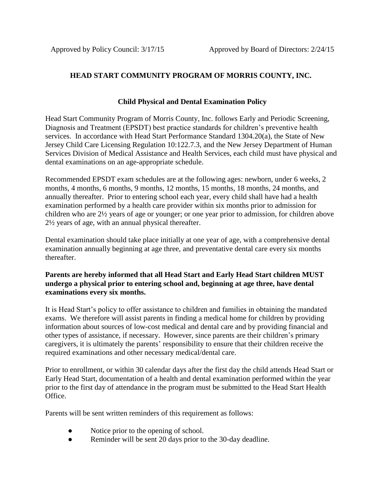## **HEAD START COMMUNITY PROGRAM OF MORRIS COUNTY, INC.**

## **Child Physical and Dental Examination Policy**

Head Start Community Program of Morris County, Inc. follows Early and Periodic Screening, Diagnosis and Treatment (EPSDT) best practice standards for children's preventive health services. In accordance with Head Start Performance Standard 1304.20(a), the State of New Jersey Child Care Licensing Regulation 10:122.7.3, and the New Jersey Department of Human Services Division of Medical Assistance and Health Services, each child must have physical and dental examinations on an age-appropriate schedule.

Recommended EPSDT exam schedules are at the following ages: newborn, under 6 weeks, 2 months, 4 months, 6 months, 9 months, 12 months, 15 months, 18 months, 24 months, and annually thereafter. Prior to entering school each year, every child shall have had a health examination performed by a health care provider within six months prior to admission for children who are 2½ years of age or younger; or one year prior to admission, for children above 2½ years of age, with an annual physical thereafter.

Dental examination should take place initially at one year of age, with a comprehensive dental examination annually beginning at age three, and preventative dental care every six months thereafter.

## **Parents are hereby informed that all Head Start and Early Head Start children MUST undergo a physical prior to entering school and, beginning at age three, have dental examinations every six months.**

It is Head Start's policy to offer assistance to children and families in obtaining the mandated exams. We therefore will assist parents in finding a medical home for children by providing information about sources of low-cost medical and dental care and by providing financial and other types of assistance, if necessary. However, since parents are their children's primary caregivers, it is ultimately the parents' responsibility to ensure that their children receive the required examinations and other necessary medical/dental care.

Prior to enrollment, or within 30 calendar days after the first day the child attends Head Start or Early Head Start, documentation of a health and dental examination performed within the year prior to the first day of attendance in the program must be submitted to the Head Start Health Office.

Parents will be sent written reminders of this requirement as follows:

- Notice prior to the opening of school.
- Reminder will be sent 20 days prior to the 30-day deadline.